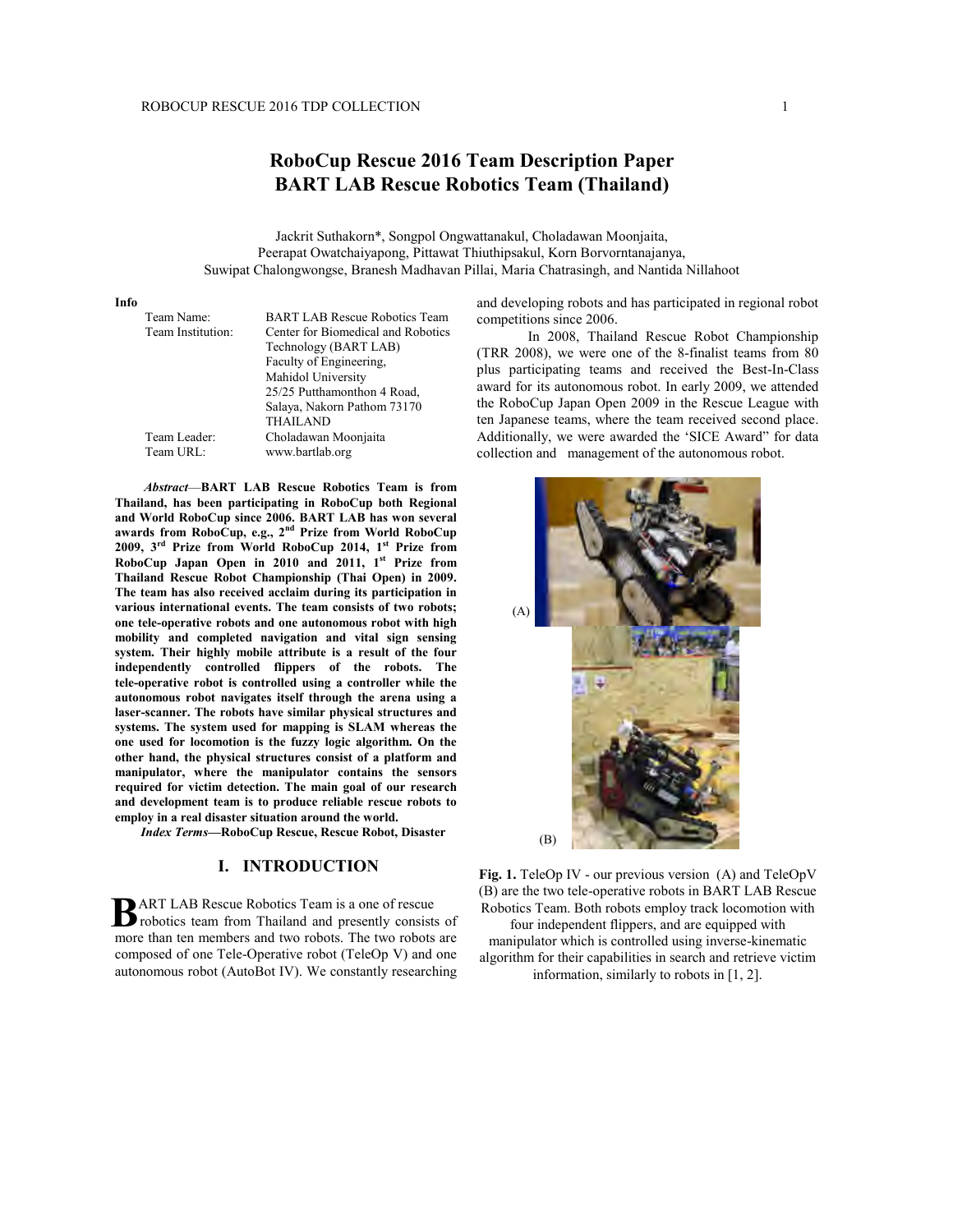# **RoboCup Rescue 2016 Team Description Paper BART LAB Rescue Robotics Team (Thailand)**

Jackrit Suthakorn\*, Songpol Ongwattanakul, Choladawan Moonjaita, Peerapat Owatchaiyapong, Pittawat Thiuthipsakul, Korn Borvorntanajanya, Suwipat Chalongwongse, Branesh Madhavan Pillai, Maria Chatrasingh, and Nantida Nillahoot

#### **Info**

| Team Name:<br>Team Institution: | <b>BART LAB Rescue Robotics Team</b><br>Center for Biomedical and Robotics<br>Technology (BART LAB) |  |
|---------------------------------|-----------------------------------------------------------------------------------------------------|--|
|                                 | Faculty of Engineering,                                                                             |  |
|                                 | Mahidol University                                                                                  |  |
|                                 | 25/25 Putthamonthon 4 Road,                                                                         |  |
|                                 | Salaya, Nakorn Pathom 73170                                                                         |  |
|                                 | <b>THAILAND</b>                                                                                     |  |
| Team Leader:                    | Choladawan Moonjaita                                                                                |  |
| Team URL:                       | www.bartlab.org                                                                                     |  |

*Abstract*—**BART LAB Rescue Robotics Team is from Thailand, has been participating in RoboCup both Regional and World RoboCup since 2006. BART LAB has won several awards from RoboCup, e.g., 2nd Prize from World RoboCup 2009, 3rd Prize from World RoboCup 2014, 1st Prize from RoboCup Japan Open in 2010 and 2011, 1st Prize from Thailand Rescue Robot Championship (Thai Open) in 2009. The team has also received acclaim during its participation in various international events. The team consists of two robots; one tele-operative robots and one autonomous robot with high mobility and completed navigation and vital sign sensing system. Their highly mobile attribute is a result of the four independently controlled flippers of the robots. The tele-operative robot is controlled using a controller while the autonomous robot navigates itself through the arena using a laser-scanner. The robots have similar physical structures and systems. The system used for mapping is SLAM whereas the one used for locomotion is the fuzzy logic algorithm. On the other hand, the physical structures consist of a platform and manipulator, where the manipulator contains the sensors required for victim detection. The main goal of our research and development team is to produce reliable rescue robots to employ in a real disaster situation around the world.**

 *Index Terms***—RoboCup Rescue, Rescue Robot, Disaster**

#### **I. INTRODUCTION**

 ART LAB Rescue Robotics Team is a one of rescue **B**ART LAB Rescue Robotics Team is a one of rescue<br> **B** robotics team from Thailand and presently consists of more than ten members and two robots. The two robots are composed of one Tele-Operative robot (TeleOp V) and one autonomous robot (AutoBot IV). We constantly researching and developing robots and has participated in regional robot competitions since 2006.

In 2008, Thailand Rescue Robot Championship (TRR 2008), we were one of the 8-finalist teams from 80 plus participating teams and received the Best-In-Class award for its autonomous robot. In early 2009, we attended the RoboCup Japan Open 2009 in the Rescue League with ten Japanese teams, where the team received second place. Additionally, we were awarded the 'SICE Award" for data collection and management of the autonomous robot.



**Fig. 1.** TeleOp IV - our previous version (A) and TeleOpV (B) are the two tele-operative robots in BART LAB Rescue Robotics Team. Both robots employ track locomotion with four independent flippers, and are equipped with manipulator which is controlled using inverse-kinematic algorithm for their capabilities in search and retrieve victim information, similarly to robots in [1, 2].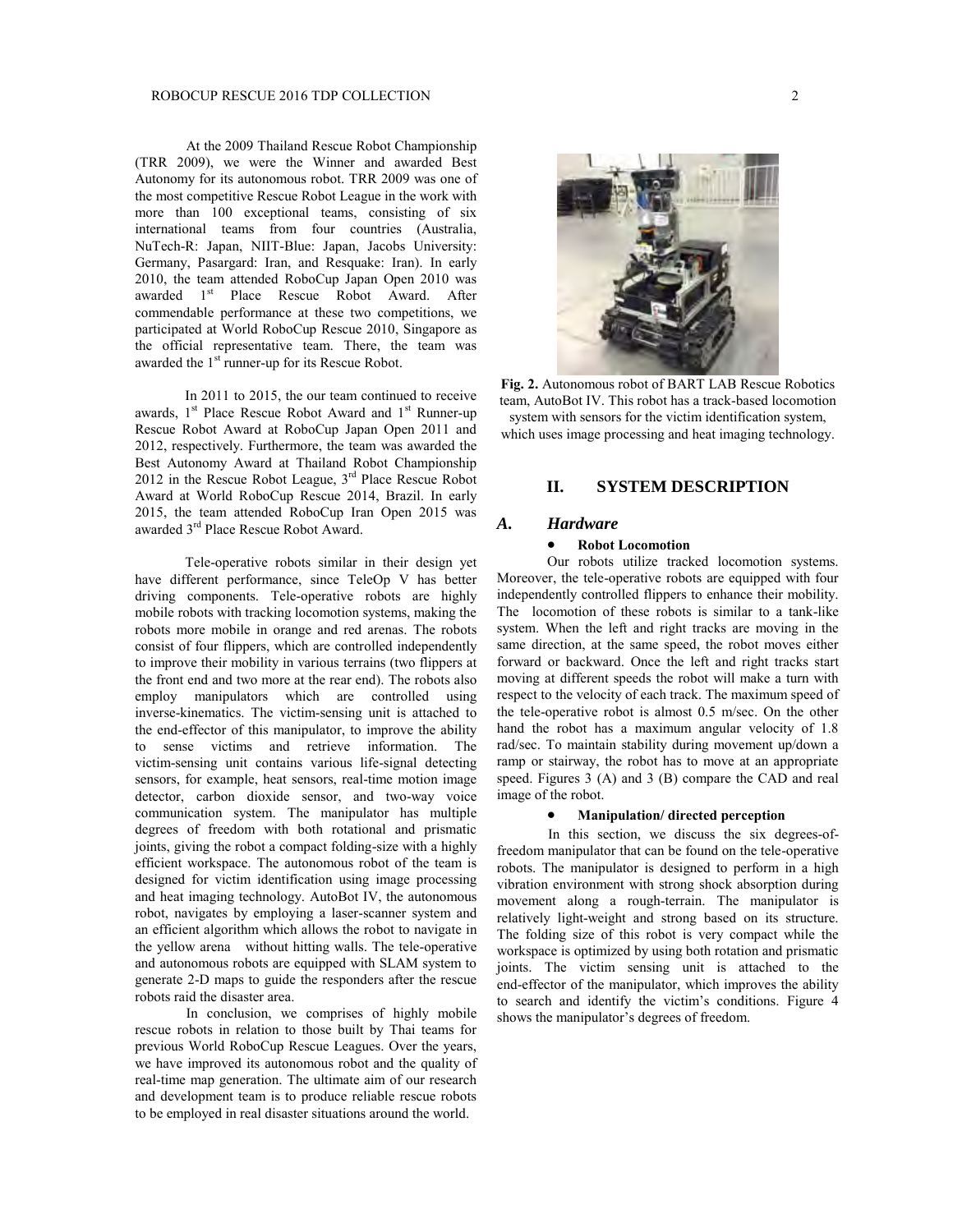At the 2009 Thailand Rescue Robot Championship (TRR 2009), we were the Winner and awarded Best Autonomy for its autonomous robot. TRR 2009 was one of the most competitive Rescue Robot League in the work with more than 100 exceptional teams, consisting of six international teams from four countries (Australia, NuTech-R: Japan, NIIT-Blue: Japan, Jacobs University: Germany, Pasargard: Iran, and Resquake: Iran). In early 2010, the team attended RoboCup Japan Open 2010 was awarded 1<sup>st</sup> Place Rescue Robot Award. After commendable performance at these two competitions, we participated at World RoboCup Rescue 2010, Singapore as the official representative team. There, the team was awarded the 1<sup>st</sup> runner-up for its Rescue Robot.

In 2011 to 2015, the our team continued to receive awards,  $1<sup>st</sup>$  Place Rescue Robot Award and  $1<sup>st</sup>$  Runner-up Rescue Robot Award at RoboCup Japan Open 2011 and 2012, respectively. Furthermore, the team was awarded the Best Autonomy Award at Thailand Robot Championship 2012 in the Rescue Robot League,  $3<sup>rd</sup>$  Place Rescue Robot Award at World RoboCup Rescue 2014, Brazil. In early 2015, the team attended RoboCup Iran Open 2015 was awarded 3rd Place Rescue Robot Award.

Tele-operative robots similar in their design yet have different performance, since TeleOp V has better driving components. Tele-operative robots are highly mobile robots with tracking locomotion systems, making the robots more mobile in orange and red arenas. The robots consist of four flippers, which are controlled independently to improve their mobility in various terrains (two flippers at the front end and two more at the rear end). The robots also employ manipulators which are controlled using inverse-kinematics. The victim-sensing unit is attached to the end-effector of this manipulator, to improve the ability to sense victims and retrieve information. The victim-sensing unit contains various life-signal detecting sensors, for example, heat sensors, real-time motion image detector, carbon dioxide sensor, and two-way voice communication system. The manipulator has multiple degrees of freedom with both rotational and prismatic joints, giving the robot a compact folding-size with a highly efficient workspace. The autonomous robot of the team is designed for victim identification using image processing and heat imaging technology. AutoBot IV, the autonomous robot, navigates by employing a laser-scanner system and an efficient algorithm which allows the robot to navigate in the yellow arena without hitting walls. The tele-operative and autonomous robots are equipped with SLAM system to generate 2-D maps to guide the responders after the rescue robots raid the disaster area.

In conclusion, we comprises of highly mobile rescue robots in relation to those built by Thai teams for previous World RoboCup Rescue Leagues. Over the years, we have improved its autonomous robot and the quality of real-time map generation. The ultimate aim of our research and development team is to produce reliable rescue robots to be employed in real disaster situations around the world.



**Fig. 2.** Autonomous robot of BART LAB Rescue Robotics team, AutoBot IV. This robot has a track-based locomotion system with sensors for the victim identification system, which uses image processing and heat imaging technology.

## **II. SYSTEM DESCRIPTION**

### *A. Hardware*

### x **Robot Locomotion**

Our robots utilize tracked locomotion systems. Moreover, the tele-operative robots are equipped with four independently controlled flippers to enhance their mobility. The locomotion of these robots is similar to a tank-like system. When the left and right tracks are moving in the same direction, at the same speed, the robot moves either forward or backward. Once the left and right tracks start moving at different speeds the robot will make a turn with respect to the velocity of each track. The maximum speed of the tele-operative robot is almost 0.5 m/sec. On the other hand the robot has a maximum angular velocity of 1.8 rad/sec. To maintain stability during movement up/down a ramp or stairway, the robot has to move at an appropriate speed. Figures 3 (A) and 3 (B) compare the CAD and real image of the robot.

### x **Manipulation/ directed perception**

In this section, we discuss the six degrees-offreedom manipulator that can be found on the tele-operative robots. The manipulator is designed to perform in a high vibration environment with strong shock absorption during movement along a rough-terrain. The manipulator is relatively light-weight and strong based on its structure. The folding size of this robot is very compact while the workspace is optimized by using both rotation and prismatic joints. The victim sensing unit is attached to the end-effector of the manipulator, which improves the ability to search and identify the victim's conditions. Figure 4 shows the manipulator's degrees of freedom.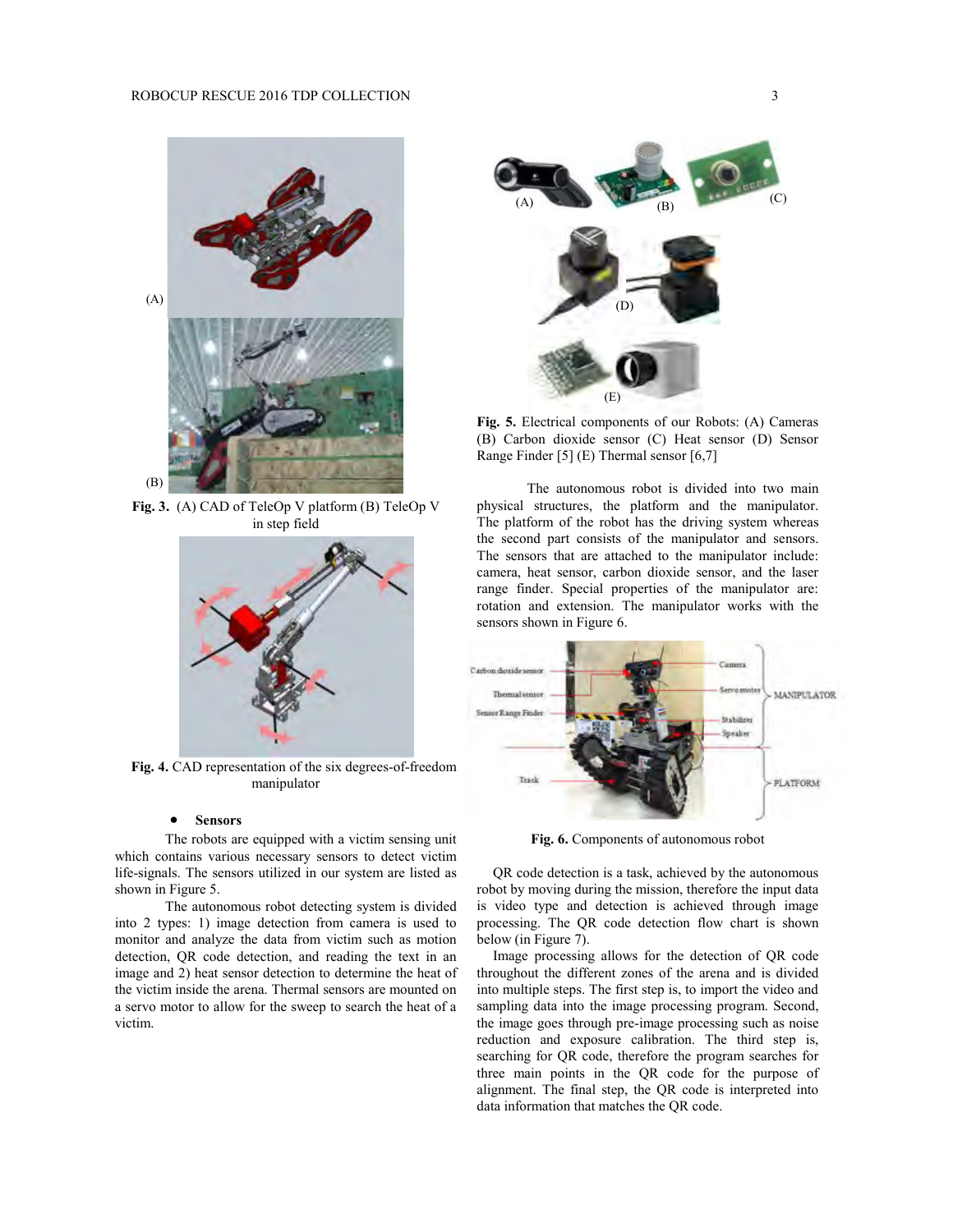

**Fig. 3.** (A) CAD of TeleOp V platform (B) TeleOp V in step field



 **Fig. 4.** CAD representation of the six degrees-of-freedom manipulator

#### **•** Sensors

The robots are equipped with a victim sensing unit which contains various necessary sensors to detect victim life-signals. The sensors utilized in our system are listed as shown in Figure 5.

The autonomous robot detecting system is divided into 2 types: 1) image detection from camera is used to monitor and analyze the data from victim such as motion detection, QR code detection, and reading the text in an image and 2) heat sensor detection to determine the heat of the victim inside the arena. Thermal sensors are mounted on a servo motor to allow for the sweep to search the heat of a victim.



**Fig. 5.** Electrical components of our Robots: (A) Cameras (B) Carbon dioxide sensor (C) Heat sensor (D) Sensor Range Finder [5] (E) Thermal sensor [6,7]

The autonomous robot is divided into two main physical structures, the platform and the manipulator. The platform of the robot has the driving system whereas the second part consists of the manipulator and sensors. The sensors that are attached to the manipulator include: camera, heat sensor, carbon dioxide sensor, and the laser range finder. Special properties of the manipulator are: rotation and extension. The manipulator works with the sensors shown in Figure 6.



**Fig. 6.** Components of autonomous robot

QR code detection is a task, achieved by the autonomous robot by moving during the mission, therefore the input data is video type and detection is achieved through image processing. The QR code detection flow chart is shown below (in Figure 7).

Image processing allows for the detection of QR code throughout the different zones of the arena and is divided into multiple steps. The first step is, to import the video and sampling data into the image processing program. Second, the image goes through pre-image processing such as noise reduction and exposure calibration. The third step is, searching for QR code, therefore the program searches for three main points in the QR code for the purpose of alignment. The final step, the QR code is interpreted into data information that matches the QR code.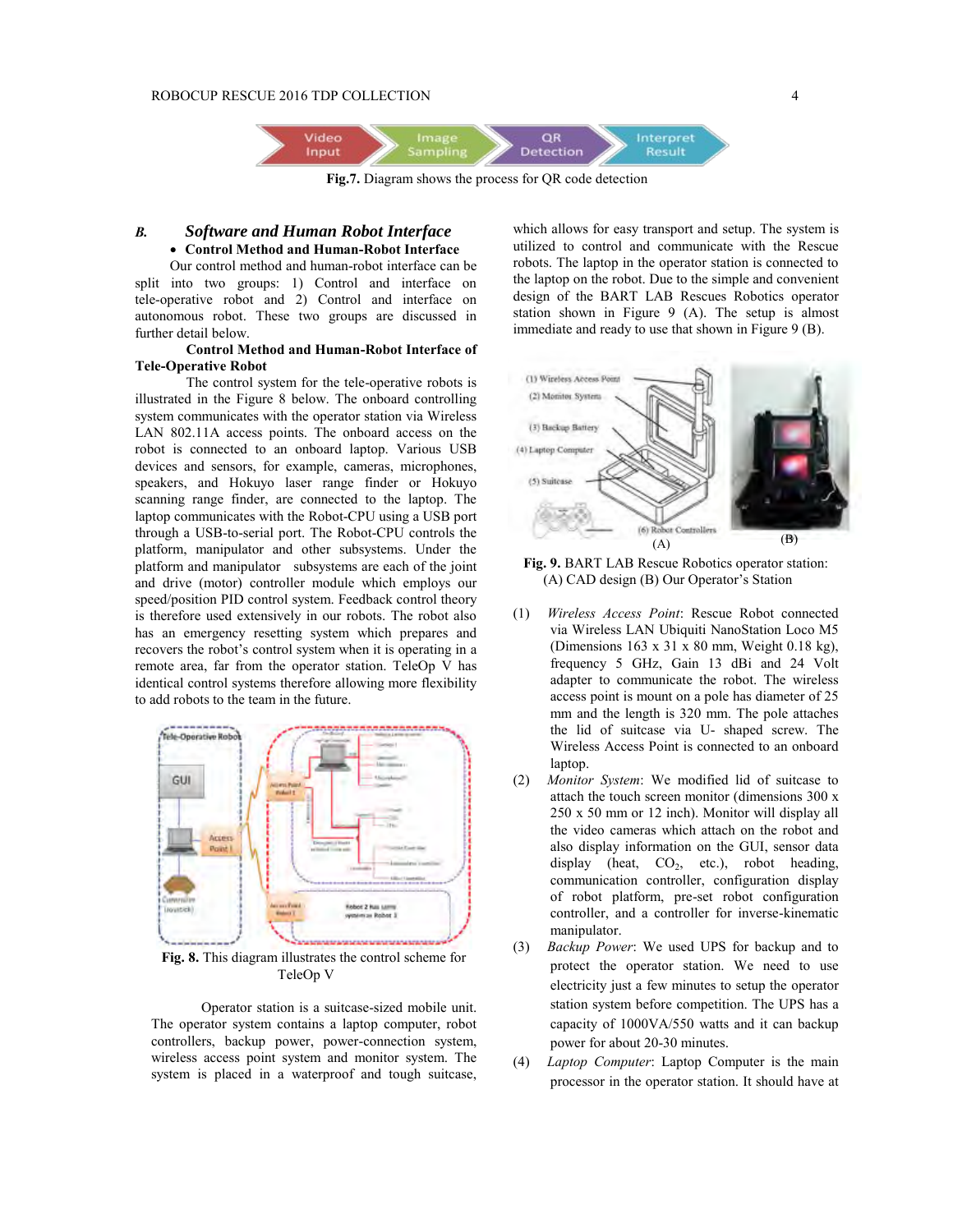

**Fig.7.** Diagram shows the process for QR code detection

### *B. Software and Human Robot Interface* x **Control Method and Human-Robot Interface**

Our control method and human-robot interface can be split into two groups: 1) Control and interface on tele-operative robot and 2) Control and interface on autonomous robot. These two groups are discussed in further detail below.

### **Control Method and Human-Robot Interface of Tele-Operative Robot**

The control system for the tele-operative robots is illustrated in the Figure 8 below. The onboard controlling system communicates with the operator station via Wireless LAN 802.11A access points. The onboard access on the robot is connected to an onboard laptop. Various USB devices and sensors, for example, cameras, microphones, speakers, and Hokuyo laser range finder or Hokuyo scanning range finder, are connected to the laptop. The laptop communicates with the Robot-CPU using a USB port through a USB-to-serial port. The Robot-CPU controls the platform, manipulator and other subsystems. Under the platform and manipulator subsystems are each of the joint and drive (motor) controller module which employs our speed/position PID control system. Feedback control theory is therefore used extensively in our robots. The robot also has an emergency resetting system which prepares and recovers the robot's control system when it is operating in a remote area, far from the operator station. TeleOp V has identical control systems therefore allowing more flexibility to add robots to the team in the future.



**Fig. 8.** This diagram illustrates the control scheme for TeleOp V

Operator station is a suitcase-sized mobile unit. The operator system contains a laptop computer, robot controllers, backup power, power-connection system, wireless access point system and monitor system. The system is placed in a waterproof and tough suitcase,

which allows for easy transport and setup. The system is utilized to control and communicate with the Rescue robots. The laptop in the operator station is connected to the laptop on the robot. Due to the simple and convenient design of the BART LAB Rescues Robotics operator station shown in Figure 9 (A). The setup is almost immediate and ready to use that shown in Figure 9 (B).



**Fig. 9.** BART LAB Rescue Robotics operator station: (A) CAD design (B) Our Operator's Station

- (1) *Wireless Access Point*: Rescue Robot connected via Wireless LAN Ubiquiti NanoStation Loco M5 (Dimensions 163 x 31 x 80 mm, Weight 0.18 kg), frequency 5 GHz, Gain 13 dBi and 24 Volt adapter to communicate the robot. The wireless access point is mount on a pole has diameter of 25 mm and the length is 320 mm. The pole attaches the lid of suitcase via U- shaped screw. The Wireless Access Point is connected to an onboard laptop.
- (2) *Monitor System*: We modified lid of suitcase to attach the touch screen monitor (dimensions 300 x 250 x 50 mm or 12 inch). Monitor will display all the video cameras which attach on the robot and also display information on the GUI, sensor data display (heat,  $CO<sub>2</sub>$ , etc.), robot heading, communication controller, configuration display of robot platform, pre-set robot configuration controller, and a controller for inverse-kinematic manipulator.
- (3) *Backup Power*: We used UPS for backup and to protect the operator station. We need to use electricity just a few minutes to setup the operator station system before competition. The UPS has a capacity of 1000VA/550 watts and it can backup power for about 20-30 minutes.
- (4) *Laptop Computer*: Laptop Computer is the main processor in the operator station. It should have at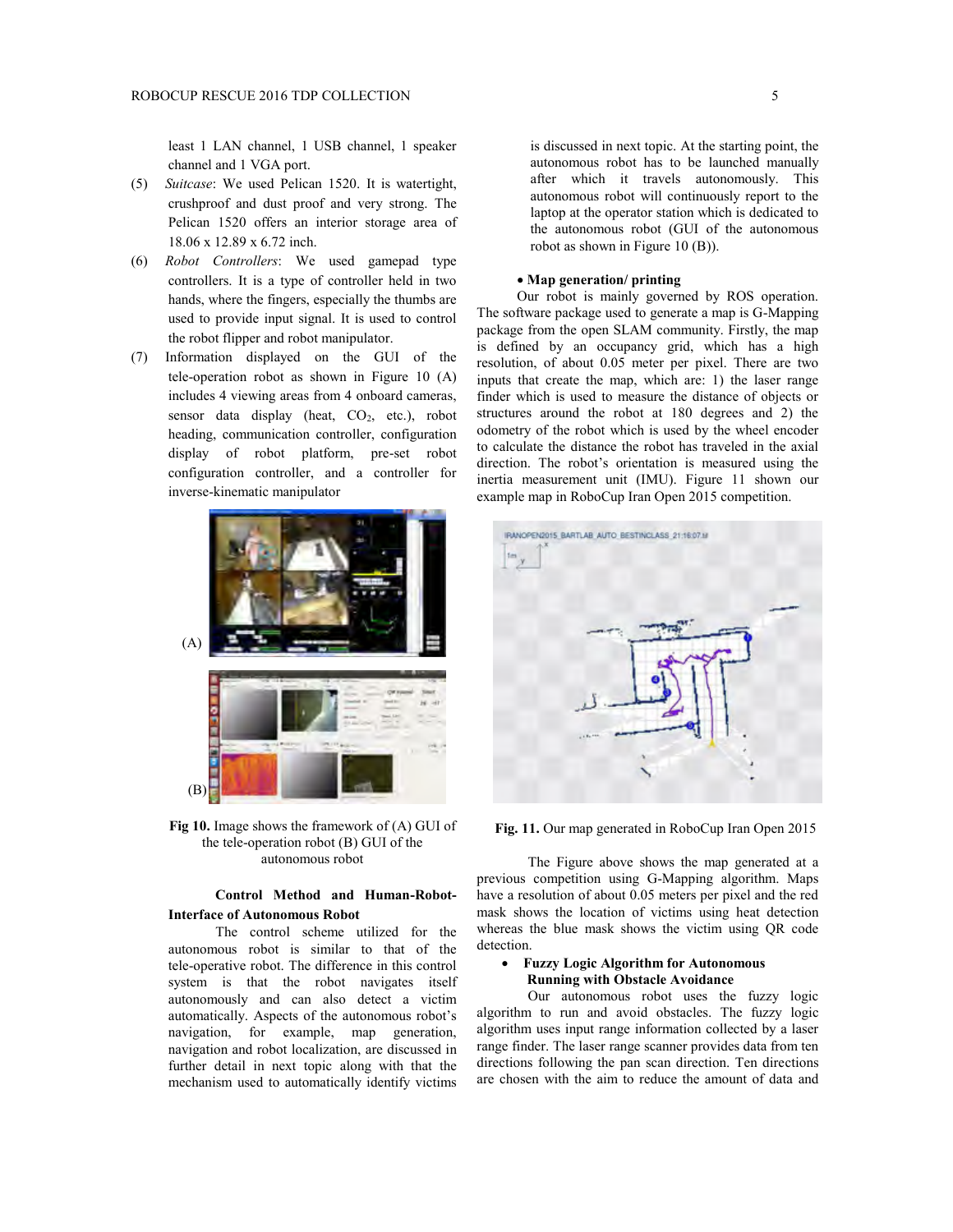least 1 LAN channel, 1 USB channel, 1 speaker channel and 1 VGA port.

- (5) *Suitcase*: We used Pelican 1520. It is watertight, crushproof and dust proof and very strong. The Pelican 1520 offers an interior storage area of 18.06 x 12.89 x 6.72 inch.
- (6) *Robot Controllers*: We used gamepad type controllers. It is a type of controller held in two hands, where the fingers, especially the thumbs are used to provide input signal. It is used to control the robot flipper and robot manipulator.
- (7) Information displayed on the GUI of the tele-operation robot as shown in Figure 10 (A) includes 4 viewing areas from 4 onboard cameras, sensor data display (heat,  $CO<sub>2</sub>$ , etc.), robot heading, communication controller, configuration display of robot platform, pre-set robot configuration controller, and a controller for inverse-kinematic manipulator



**Fig 10.** Image shows the framework of (A) GUI of the tele-operation robot (B) GUI of the autonomous robot

### **Control Method and Human-Robot-Interface of Autonomous Robot**

The control scheme utilized for the autonomous robot is similar to that of the tele-operative robot. The difference in this control system is that the robot navigates itself autonomously and can also detect a victim automatically. Aspects of the autonomous robot's navigation, for example, map generation, navigation and robot localization, are discussed in further detail in next topic along with that the mechanism used to automatically identify victims

is discussed in next topic. At the starting point, the autonomous robot has to be launched manually after which it travels autonomously. This autonomous robot will continuously report to the laptop at the operator station which is dedicated to the autonomous robot (GUI of the autonomous robot as shown in Figure 10 (B)).

### x **Map generation/ printing**

Our robot is mainly governed by ROS operation. The software package used to generate a map is G-Mapping package from the open SLAM community. Firstly, the map is defined by an occupancy grid, which has a high resolution, of about 0.05 meter per pixel. There are two inputs that create the map, which are: 1) the laser range finder which is used to measure the distance of objects or structures around the robot at 180 degrees and 2) the odometry of the robot which is used by the wheel encoder to calculate the distance the robot has traveled in the axial direction. The robot's orientation is measured using the inertia measurement unit (IMU). Figure 11 shown our example map in RoboCup Iran Open 2015 competition.



Fig. 11. Our map generated in RoboCup Iran Open 2015

The Figure above shows the map generated at a previous competition using G-Mapping algorithm. Maps have a resolution of about 0.05 meters per pixel and the red mask shows the location of victims using heat detection whereas the blue mask shows the victim using QR code detection.

### x **Fuzzy Logic Algorithm for Autonomous Running with Obstacle Avoidance**

Our autonomous robot uses the fuzzy logic algorithm to run and avoid obstacles. The fuzzy logic algorithm uses input range information collected by a laser range finder. The laser range scanner provides data from ten directions following the pan scan direction. Ten directions are chosen with the aim to reduce the amount of data and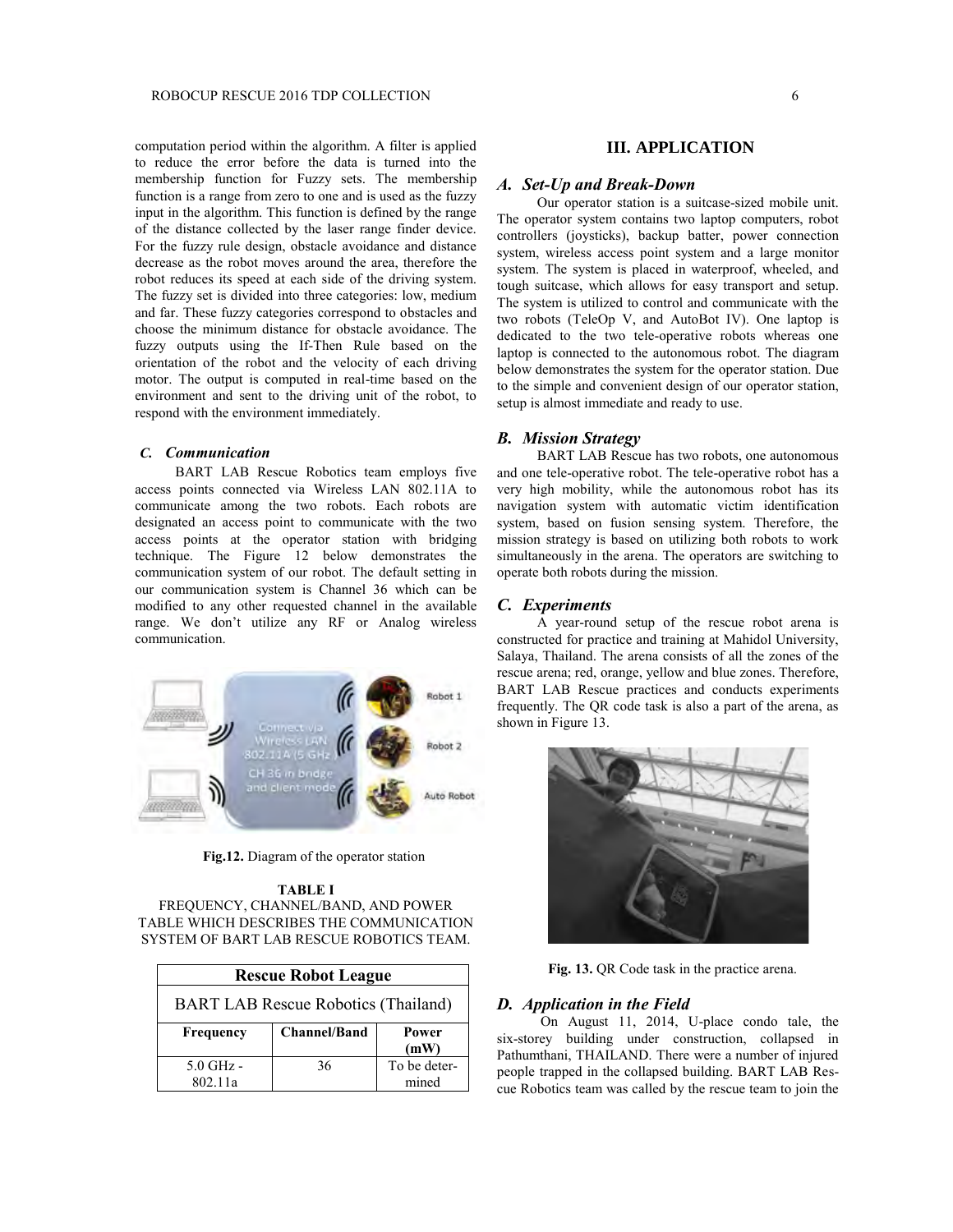computation period within the algorithm. A filter is applied to reduce the error before the data is turned into the membership function for Fuzzy sets. The membership function is a range from zero to one and is used as the fuzzy input in the algorithm. This function is defined by the range of the distance collected by the laser range finder device. For the fuzzy rule design, obstacle avoidance and distance decrease as the robot moves around the area, therefore the robot reduces its speed at each side of the driving system. The fuzzy set is divided into three categories: low, medium and far. These fuzzy categories correspond to obstacles and choose the minimum distance for obstacle avoidance. The fuzzy outputs using the If-Then Rule based on the orientation of the robot and the velocity of each driving motor. The output is computed in real-time based on the environment and sent to the driving unit of the robot, to respond with the environment immediately.

### *C. Communication*

BART LAB Rescue Robotics team employs five access points connected via Wireless LAN 802.11A to communicate among the two robots. Each robots are designated an access point to communicate with the two access points at the operator station with bridging technique. The Figure 12 below demonstrates the communication system of our robot. The default setting in our communication system is Channel 36 which can be modified to any other requested channel in the available range. We don't utilize any RF or Analog wireless communication.



**Fig.12.** Diagram of the operator station

#### **TABLE I**

FREQUENCY, CHANNEL/BAND, AND POWER TABLE WHICH DESCRIBES THE COMMUNICATION SYSTEM OF BART LAB RESCUE ROBOTICS TEAM.

| <b>Rescue Robot League</b>                 |                     |              |  |  |
|--------------------------------------------|---------------------|--------------|--|--|
| <b>BART LAB Rescue Robotics (Thailand)</b> |                     |              |  |  |
| Frequency                                  | <b>Channel/Band</b> | Power        |  |  |
|                                            |                     | (mW)         |  |  |
| $5.0$ GHz -                                | 36                  | To be deter- |  |  |
| 802.11a                                    |                     | mined        |  |  |

#### **III. APPLICATION**

#### *A. Set-Up and Break-Down*

Our operator station is a suitcase-sized mobile unit. The operator system contains two laptop computers, robot controllers (joysticks), backup batter, power connection system, wireless access point system and a large monitor system. The system is placed in waterproof, wheeled, and tough suitcase, which allows for easy transport and setup. The system is utilized to control and communicate with the two robots (TeleOp V, and AutoBot IV). One laptop is dedicated to the two tele-operative robots whereas one laptop is connected to the autonomous robot. The diagram below demonstrates the system for the operator station. Due to the simple and convenient design of our operator station, setup is almost immediate and ready to use.

### *B. Mission Strategy*

BART LAB Rescue has two robots, one autonomous and one tele-operative robot. The tele-operative robot has a very high mobility, while the autonomous robot has its navigation system with automatic victim identification system, based on fusion sensing system. Therefore, the mission strategy is based on utilizing both robots to work simultaneously in the arena. The operators are switching to operate both robots during the mission.

#### *C. Experiments*

A year-round setup of the rescue robot arena is constructed for practice and training at Mahidol University, Salaya, Thailand. The arena consists of all the zones of the rescue arena; red, orange, yellow and blue zones. Therefore, BART LAB Rescue practices and conducts experiments frequently. The QR code task is also a part of the arena, as shown in Figure 13.



**Fig. 13.** QR Code task in the practice arena.

#### *D. Application in the Field*

On August 11, 2014, U-place condo tale, the six-storey building under construction, collapsed in Pathumthani, THAILAND. There were a number of injured people trapped in the collapsed building. BART LAB Rescue Robotics team was called by the rescue team to join the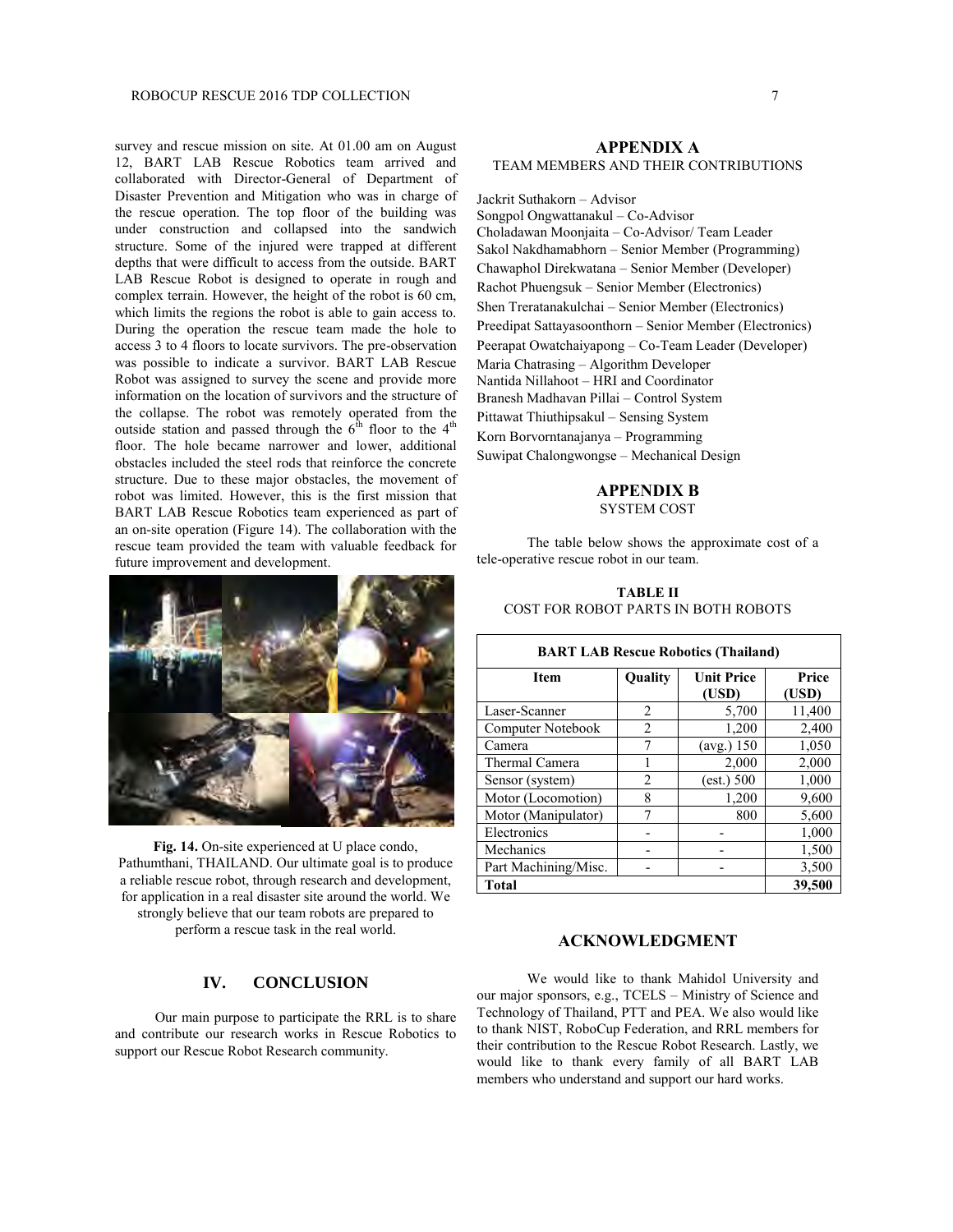survey and rescue mission on site. At 01.00 am on August 12, BART LAB Rescue Robotics team arrived and collaborated with Director-General of Department of Disaster Prevention and Mitigation who was in charge of the rescue operation. The top floor of the building was under construction and collapsed into the sandwich structure. Some of the injured were trapped at different depths that were difficult to access from the outside. BART LAB Rescue Robot is designed to operate in rough and complex terrain. However, the height of the robot is 60 cm, which limits the regions the robot is able to gain access to. During the operation the rescue team made the hole to access 3 to 4 floors to locate survivors. The pre-observation was possible to indicate a survivor. BART LAB Rescue Robot was assigned to survey the scene and provide more information on the location of survivors and the structure of the collapse. The robot was remotely operated from the outside station and passed through the  $6<sup>th</sup>$  floor to the 4<sup>th</sup> floor. The hole became narrower and lower, additional obstacles included the steel rods that reinforce the concrete structure. Due to these major obstacles, the movement of robot was limited. However, this is the first mission that BART LAB Rescue Robotics team experienced as part of an on-site operation (Figure 14). The collaboration with the rescue team provided the team with valuable feedback for future improvement and development.



**Fig. 14.** On-site experienced at U place condo, Pathumthani, THAILAND. Our ultimate goal is to produce a reliable rescue robot, through research and development, for application in a real disaster site around the world. We strongly believe that our team robots are prepared to perform a rescue task in the real world.

### **IV. CONCLUSION**

Our main purpose to participate the RRL is to share and contribute our research works in Rescue Robotics to support our Rescue Robot Research community.

#### **APPENDIX A** TEAM MEMBERS AND THEIR CONTRIBUTIONS

Jackrit Suthakorn – Advisor Songpol Ongwattanakul – Co-Advisor Choladawan Moonjaita – Co-Advisor/ Team Leader Sakol Nakdhamabhorn – Senior Member (Programming) Chawaphol Direkwatana – Senior Member (Developer) Rachot Phuengsuk – Senior Member (Electronics) Shen Treratanakulchai – Senior Member (Electronics) Preedipat Sattayasoonthorn – Senior Member (Electronics) Peerapat Owatchaiyapong – Co-Team Leader (Developer) Maria Chatrasing – Algorithm Developer Nantida Nillahoot – HRI and Coordinator Branesh Madhavan Pillai – Control System Pittawat Thiuthipsakul – Sensing System Korn Borvorntanajanya – Programming Suwipat Chalongwongse – Mechanical Design

#### **APPENDIX B** SYSTEM COST

The table below shows the approximate cost of a tele-operative rescue robot in our team.

### **TABLE II** COST FOR ROBOT PARTS IN BOTH ROBOTS

| <b>BART LAB Rescue Robotics (Thailand)</b> |                |                            |                |  |  |
|--------------------------------------------|----------------|----------------------------|----------------|--|--|
| <b>Item</b>                                | Quality        | <b>Unit Price</b><br>(USD) | Price<br>(USD) |  |  |
| Laser-Scanner                              | 2              | 5,700                      | 11,400         |  |  |
| Computer Notebook                          | 2              | 1,200                      | 2,400          |  |  |
| Camera                                     |                | $(\text{avg.}) 150$        | 1,050          |  |  |
| Thermal Camera                             |                | 2,000                      | 2,000          |  |  |
| Sensor (system)                            | $\overline{c}$ | (est.) 500                 | 1,000          |  |  |
| Motor (Locomotion)                         | 8              | 1,200                      | 9,600          |  |  |
| Motor (Manipulator)                        |                | 800                        | 5,600          |  |  |
| Electronics                                |                |                            | 1,000          |  |  |
| Mechanics                                  |                |                            | 1,500          |  |  |
| Part Machining/Misc.                       |                |                            | 3,500          |  |  |
| <b>Total</b>                               | 39,500         |                            |                |  |  |

### **ACKNOWLEDGMENT**

We would like to thank Mahidol University and our major sponsors, e.g., TCELS – Ministry of Science and Technology of Thailand, PTT and PEA. We also would like to thank NIST, RoboCup Federation, and RRL members for their contribution to the Rescue Robot Research. Lastly, we would like to thank every family of all BART LAB members who understand and support our hard works.